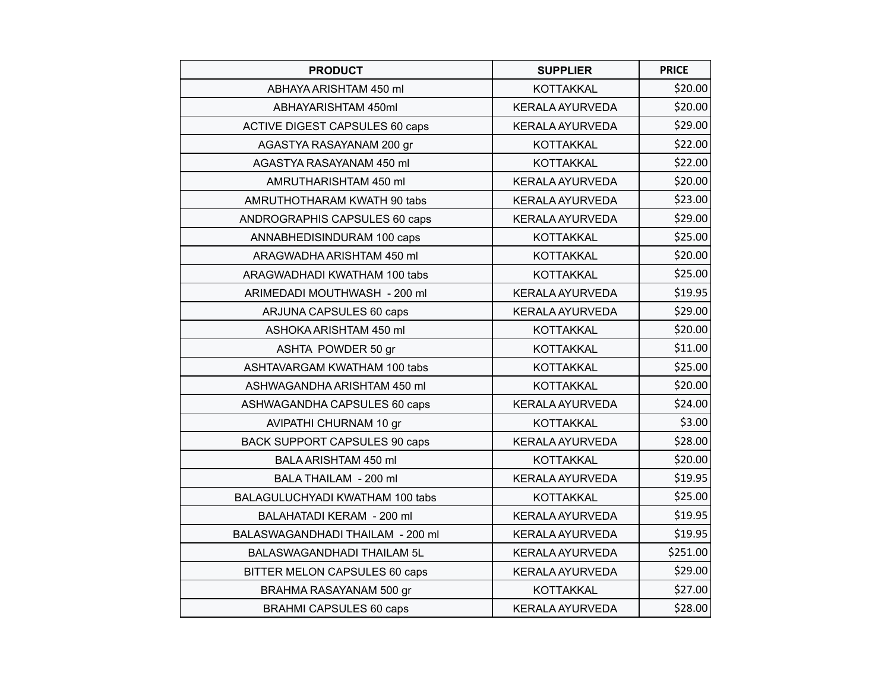| <b>PRODUCT</b>                        | <b>SUPPLIER</b>        | <b>PRICE</b> |
|---------------------------------------|------------------------|--------------|
| ABHAYA ARISHTAM 450 ml                | <b>KOTTAKKAL</b>       | \$20.00      |
| ABHAYARISHTAM 450ml                   | <b>KERALA AYURVEDA</b> | \$20.00      |
| <b>ACTIVE DIGEST CAPSULES 60 caps</b> | <b>KERALA AYURVEDA</b> | \$29.00      |
| AGASTYA RASAYANAM 200 gr              | <b>KOTTAKKAL</b>       | \$22.00      |
| AGASTYA RASAYANAM 450 ml              | <b>KOTTAKKAL</b>       | \$22.00      |
| AMRUTHARISHTAM 450 ml                 | <b>KERALA AYURVEDA</b> | \$20.00      |
| AMRUTHOTHARAM KWATH 90 tabs           | <b>KERALA AYURVEDA</b> | \$23.00      |
| ANDROGRAPHIS CAPSULES 60 caps         | <b>KERALA AYURVEDA</b> | \$29.00      |
| ANNABHEDISINDURAM 100 caps            | <b>KOTTAKKAL</b>       | \$25.00      |
| ARAGWADHA ARISHTAM 450 ml             | <b>KOTTAKKAL</b>       | \$20.00      |
| ARAGWADHADI KWATHAM 100 tabs          | <b>KOTTAKKAL</b>       | \$25.00      |
| ARIMEDADI MOUTHWASH - 200 ml          | <b>KERALA AYURVEDA</b> | \$19.95      |
| ARJUNA CAPSULES 60 caps               | <b>KERALA AYURVEDA</b> | \$29.00      |
| ASHOKA ARISHTAM 450 ml                | <b>KOTTAKKAL</b>       | \$20.00      |
| ASHTA POWDER 50 gr                    | <b>KOTTAKKAL</b>       | \$11.00      |
| ASHTAVARGAM KWATHAM 100 tabs          | <b>KOTTAKKAL</b>       | \$25.00      |
| ASHWAGANDHA ARISHTAM 450 ml           | <b>KOTTAKKAL</b>       | \$20.00      |
| ASHWAGANDHA CAPSULES 60 caps          | <b>KERALA AYURVEDA</b> | \$24.00      |
| AVIPATHI CHURNAM 10 gr                | <b>KOTTAKKAL</b>       | \$3.00       |
| <b>BACK SUPPORT CAPSULES 90 caps</b>  | <b>KERALA AYURVEDA</b> | \$28.00      |
| BALA ARISHTAM 450 ml                  | <b>KOTTAKKAL</b>       | \$20.00      |
| BALA THAILAM - 200 ml                 | <b>KERALA AYURVEDA</b> | \$19.95      |
| BALAGULUCHYADI KWATHAM 100 tabs       | <b>KOTTAKKAL</b>       | \$25.00      |
| BALAHATADI KERAM - 200 ml             | <b>KERALA AYURVEDA</b> | \$19.95      |
| BALASWAGANDHADI THAILAM - 200 ml      | <b>KERALA AYURVEDA</b> | \$19.95      |
| BALASWAGANDHADI THAILAM 5L            | <b>KERALA AYURVEDA</b> | \$251.00     |
| BITTER MELON CAPSULES 60 caps         | <b>KERALA AYURVEDA</b> | \$29.00      |
| BRAHMA RASAYANAM 500 gr               | <b>KOTTAKKAL</b>       | \$27.00      |
| <b>BRAHMI CAPSULES 60 caps</b>        | <b>KERALA AYURVEDA</b> | \$28.00      |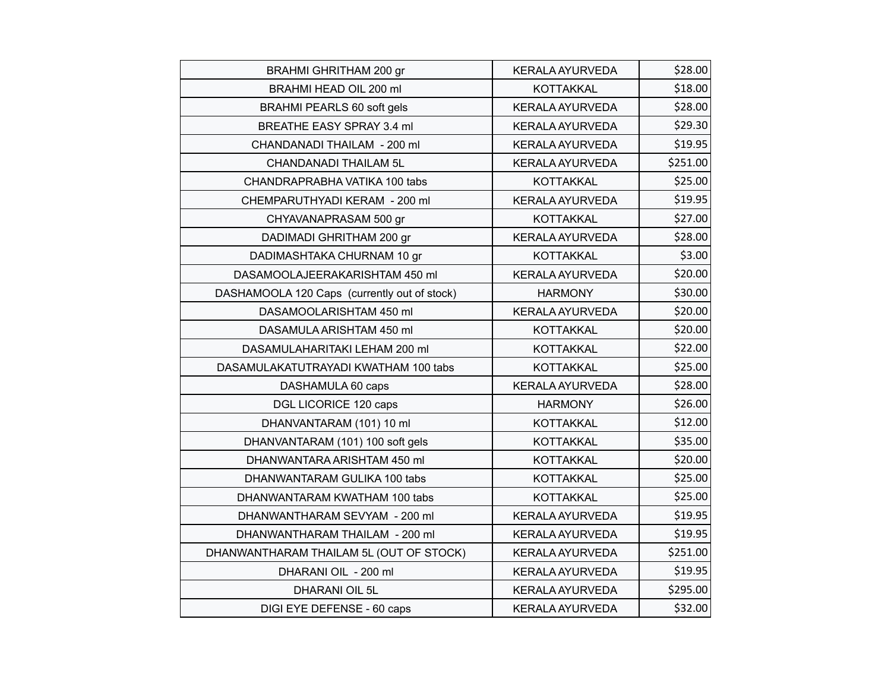| <b>BRAHMI GHRITHAM 200 gr</b>                | <b>KERALA AYURVEDA</b> | \$28.00  |
|----------------------------------------------|------------------------|----------|
| BRAHMI HEAD OIL 200 ml                       | <b>KOTTAKKAL</b>       | \$18.00  |
| <b>BRAHMI PEARLS 60 soft gels</b>            | <b>KERALA AYURVEDA</b> | \$28.00  |
| BREATHE EASY SPRAY 3.4 ml                    | <b>KERALA AYURVEDA</b> | \$29.30  |
| CHANDANADI THAILAM - 200 ml                  | <b>KERALA AYURVEDA</b> | \$19.95  |
| <b>CHANDANADI THAILAM 5L</b>                 | KERALA AYURVEDA        | \$251.00 |
| CHANDRAPRABHA VATIKA 100 tabs                | <b>KOTTAKKAL</b>       | \$25.00  |
| CHEMPARUTHYADI KERAM - 200 ml                | <b>KERALA AYURVEDA</b> | \$19.95  |
| CHYAVANAPRASAM 500 gr                        | <b>KOTTAKKAL</b>       | \$27.00  |
| DADIMADI GHRITHAM 200 gr                     | <b>KERALA AYURVEDA</b> | \$28.00  |
| DADIMASHTAKA CHURNAM 10 gr                   | <b>KOTTAKKAL</b>       | \$3.00   |
| DASAMOOLAJEERAKARISHTAM 450 ml               | <b>KERALA AYURVEDA</b> | \$20.00  |
| DASHAMOOLA 120 Caps (currently out of stock) | <b>HARMONY</b>         | \$30.00  |
| DASAMOOLARISHTAM 450 ml                      | <b>KERALA AYURVEDA</b> | \$20.00  |
| DASAMULA ARISHTAM 450 ml                     | <b>KOTTAKKAL</b>       | \$20.00  |
| DASAMULAHARITAKI LEHAM 200 ml                | <b>KOTTAKKAL</b>       | \$22.00  |
| DASAMULAKATUTRAYADI KWATHAM 100 tabs         | <b>KOTTAKKAL</b>       | \$25.00  |
| DASHAMULA 60 caps                            | <b>KERALA AYURVEDA</b> | \$28.00  |
| DGL LICORICE 120 caps                        | <b>HARMONY</b>         | \$26.00  |
| DHANVANTARAM (101) 10 ml                     | <b>KOTTAKKAL</b>       | \$12.00  |
| DHANVANTARAM (101) 100 soft gels             | <b>KOTTAKKAL</b>       | \$35.00  |
| DHANWANTARA ARISHTAM 450 ml                  | <b>KOTTAKKAL</b>       | \$20.00  |
| DHANWANTARAM GULIKA 100 tabs                 | <b>KOTTAKKAL</b>       | \$25.00  |
| DHANWANTARAM KWATHAM 100 tabs                | <b>KOTTAKKAL</b>       | \$25.00  |
| DHANWANTHARAM SEVYAM - 200 ml                | <b>KERALA AYURVEDA</b> | \$19.95  |
| DHANWANTHARAM THAILAM - 200 ml               | <b>KERALA AYURVEDA</b> | \$19.95  |
| DHANWANTHARAM THAILAM 5L (OUT OF STOCK)      | <b>KERALA AYURVEDA</b> | \$251.00 |
| DHARANI OIL - 200 ml                         | <b>KERALA AYURVEDA</b> | \$19.95  |
| <b>DHARANI OIL 5L</b>                        | <b>KERALA AYURVEDA</b> | \$295.00 |
| DIGI EYE DEFENSE - 60 caps                   | <b>KERALA AYURVEDA</b> | \$32.00  |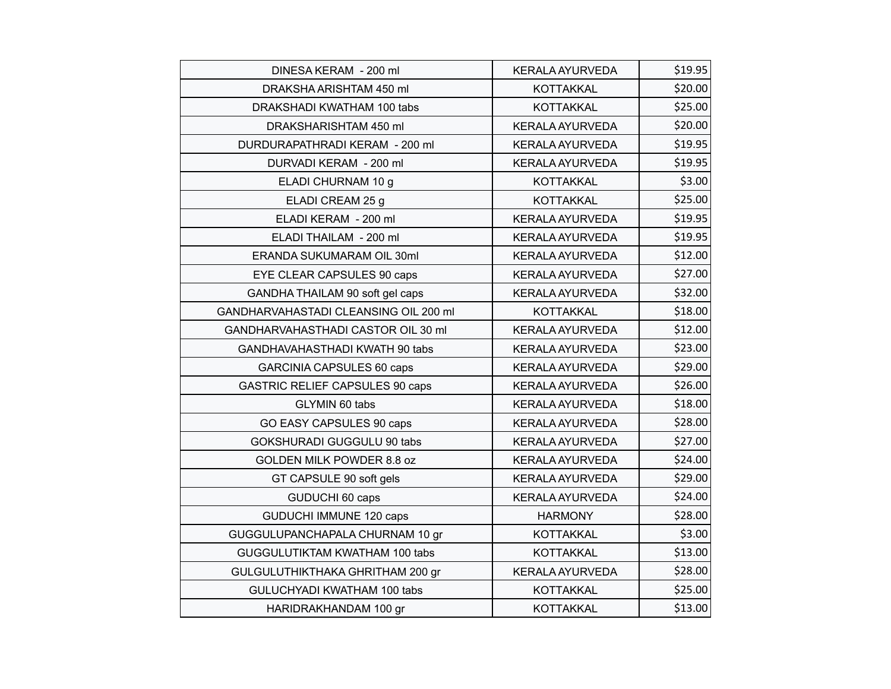| DINESA KERAM - 200 ml                  | <b>KERALA AYURVEDA</b> | \$19.95 |
|----------------------------------------|------------------------|---------|
| DRAKSHA ARISHTAM 450 ml                | <b>KOTTAKKAL</b>       | \$20.00 |
| DRAKSHADI KWATHAM 100 tabs             | <b>KOTTAKKAL</b>       | \$25.00 |
| DRAKSHARISHTAM 450 ml                  | <b>KERALA AYURVEDA</b> | \$20.00 |
| DURDURAPATHRADI KERAM - 200 ml         | <b>KERALA AYURVEDA</b> | \$19.95 |
| DURVADI KERAM - 200 ml                 | KERALA AYURVEDA        | \$19.95 |
| ELADI CHURNAM 10 g                     | <b>KOTTAKKAL</b>       | \$3.00  |
| ELADI CREAM 25 g                       | <b>KOTTAKKAL</b>       | \$25.00 |
| ELADI KERAM - 200 ml                   | <b>KERALA AYURVEDA</b> | \$19.95 |
| ELADI THAILAM - 200 ml                 | KERALA AYURVEDA        | \$19.95 |
| ERANDA SUKUMARAM OIL 30ml              | <b>KERALA AYURVEDA</b> | \$12.00 |
| EYE CLEAR CAPSULES 90 caps             | <b>KERALA AYURVEDA</b> | \$27.00 |
| GANDHA THAILAM 90 soft gel caps        | <b>KERALA AYURVEDA</b> | \$32.00 |
| GANDHARVAHASTADI CLEANSING OIL 200 ml  | <b>KOTTAKKAL</b>       | \$18.00 |
| GANDHARVAHASTHADI CASTOR OIL 30 ml     | <b>KERALA AYURVEDA</b> | \$12.00 |
| GANDHAVAHASTHADI KWATH 90 tabs         | <b>KERALA AYURVEDA</b> | \$23.00 |
| <b>GARCINIA CAPSULES 60 caps</b>       | <b>KERALA AYURVEDA</b> | \$29.00 |
| <b>GASTRIC RELIEF CAPSULES 90 caps</b> | <b>KERALA AYURVEDA</b> | \$26.00 |
| GLYMIN 60 tabs                         | <b>KERALA AYURVEDA</b> | \$18.00 |
| GO EASY CAPSULES 90 caps               | <b>KERALA AYURVEDA</b> | \$28.00 |
| GOKSHURADI GUGGULU 90 tabs             | <b>KERALA AYURVEDA</b> | \$27.00 |
| GOLDEN MILK POWDER 8.8 oz              | <b>KERALA AYURVEDA</b> | \$24.00 |
| GT CAPSULE 90 soft gels                | <b>KERALA AYURVEDA</b> | \$29.00 |
| GUDUCHI 60 caps                        | <b>KERALA AYURVEDA</b> | \$24.00 |
| GUDUCHI IMMUNE 120 caps                | <b>HARMONY</b>         | \$28.00 |
| GUGGULUPANCHAPALA CHURNAM 10 gr        | <b>KOTTAKKAL</b>       | \$3.00  |
| GUGGULUTIKTAM KWATHAM 100 tabs         | <b>KOTTAKKAL</b>       | \$13.00 |
| GULGULUTHIKTHAKA GHRITHAM 200 gr       | <b>KERALA AYURVEDA</b> | \$28.00 |
| GULUCHYADI KWATHAM 100 tabs            | <b>KOTTAKKAL</b>       | \$25.00 |
| HARIDRAKHANDAM 100 gr                  | <b>KOTTAKKAL</b>       | \$13.00 |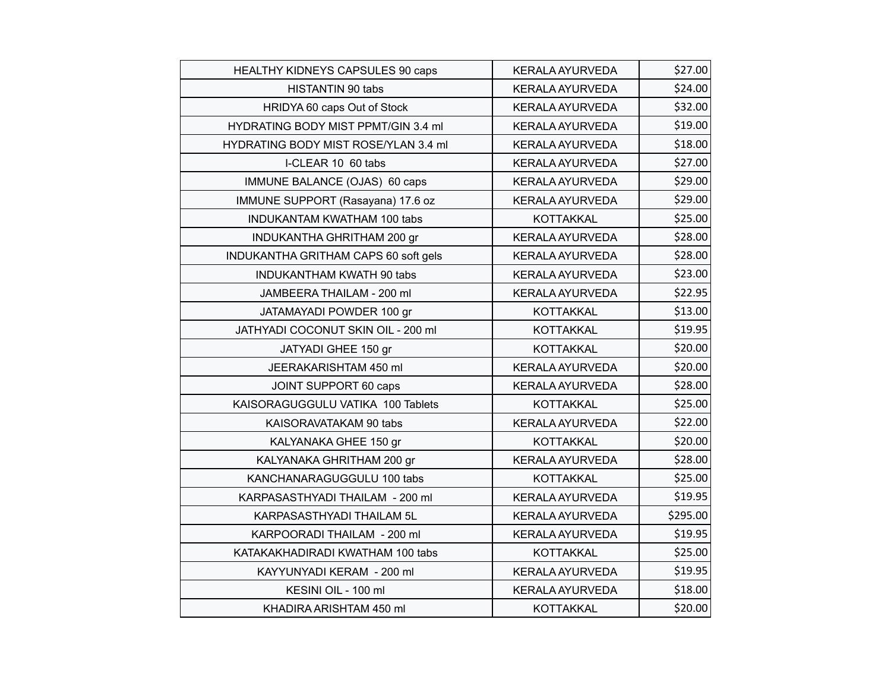| HEALTHY KIDNEYS CAPSULES 90 caps     | <b>KERALA AYURVEDA</b> | \$27.00  |
|--------------------------------------|------------------------|----------|
| <b>HISTANTIN 90 tabs</b>             | <b>KERALA AYURVEDA</b> | \$24.00  |
| HRIDYA 60 caps Out of Stock          | <b>KERALA AYURVEDA</b> | \$32.00  |
| HYDRATING BODY MIST PPMT/GIN 3.4 ml  | <b>KERALA AYURVEDA</b> | \$19.00  |
| HYDRATING BODY MIST ROSE/YLAN 3.4 ml | <b>KERALA AYURVEDA</b> | \$18.00  |
| I-CLEAR 10 60 tabs                   | <b>KERALA AYURVEDA</b> | \$27.00  |
| IMMUNE BALANCE (OJAS) 60 caps        | <b>KERALA AYURVEDA</b> | \$29.00  |
| IMMUNE SUPPORT (Rasayana) 17.6 oz    | <b>KERALA AYURVEDA</b> | \$29.00  |
| INDUKANTAM KWATHAM 100 tabs          | <b>KOTTAKKAL</b>       | \$25.00  |
| INDUKANTHA GHRITHAM 200 gr           | <b>KERALA AYURVEDA</b> | \$28.00  |
| INDUKANTHA GRITHAM CAPS 60 soft gels | <b>KERALA AYURVEDA</b> | \$28.00  |
| <b>INDUKANTHAM KWATH 90 tabs</b>     | <b>KERALA AYURVEDA</b> | \$23.00  |
| JAMBEERA THAILAM - 200 ml            | <b>KERALA AYURVEDA</b> | \$22.95  |
| JATAMAYADI POWDER 100 gr             | <b>KOTTAKKAL</b>       | \$13.00  |
| JATHYADI COCONUT SKIN OIL - 200 ml   | <b>KOTTAKKAL</b>       | \$19.95  |
| JATYADI GHEE 150 gr                  | <b>KOTTAKKAL</b>       | \$20.00  |
| JEERAKARISHTAM 450 ml                | <b>KERALA AYURVEDA</b> | \$20.00  |
| JOINT SUPPORT 60 caps                | <b>KERALA AYURVEDA</b> | \$28.00  |
| KAISORAGUGGULU VATIKA 100 Tablets    | <b>KOTTAKKAL</b>       | \$25.00  |
| KAISORAVATAKAM 90 tabs               | <b>KERALA AYURVEDA</b> | \$22.00  |
| KALYANAKA GHEE 150 gr                | <b>KOTTAKKAL</b>       | \$20.00  |
| KALYANAKA GHRITHAM 200 gr            | <b>KERALA AYURVEDA</b> | \$28.00  |
| KANCHANARAGUGGULU 100 tabs           | <b>KOTTAKKAL</b>       | \$25.00  |
| KARPASASTHYADI THAILAM - 200 ml      | <b>KERALA AYURVEDA</b> | \$19.95  |
| KARPASASTHYADI THAILAM 5L            | <b>KERALA AYURVEDA</b> | \$295.00 |
| KARPOORADI THAILAM - 200 ml          | <b>KERALA AYURVEDA</b> | \$19.95  |
| KATAKAKHADIRADI KWATHAM 100 tabs     | <b>KOTTAKKAL</b>       | \$25.00  |
| KAYYUNYADI KERAM - 200 ml            | <b>KERALA AYURVEDA</b> | \$19.95  |
| KESINI OIL - 100 ml                  | <b>KERALA AYURVEDA</b> | \$18.00  |
| KHADIRA ARISHTAM 450 ml              | <b>KOTTAKKAL</b>       | \$20.00  |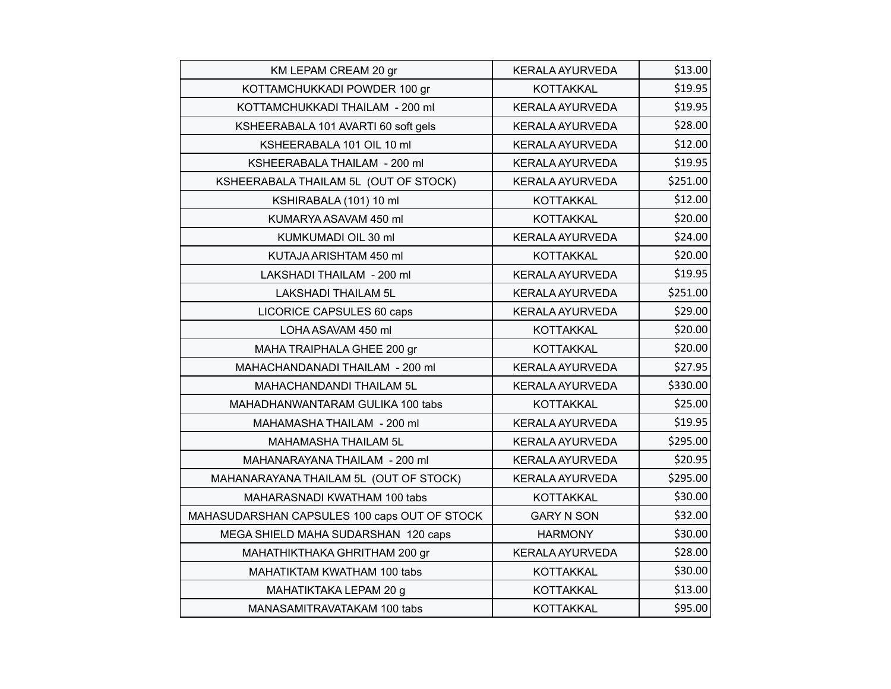| KM LEPAM CREAM 20 gr                         | <b>KERALA AYURVEDA</b> | \$13.00  |
|----------------------------------------------|------------------------|----------|
| KOTTAMCHUKKADI POWDER 100 gr                 | <b>KOTTAKKAL</b>       | \$19.95  |
| KOTTAMCHUKKADI THAILAM - 200 ml              | <b>KERALA AYURVEDA</b> | \$19.95  |
| KSHEERABALA 101 AVARTI 60 soft gels          | KERALA AYURVEDA        | \$28.00  |
| KSHEERABALA 101 OIL 10 ml                    | <b>KERALA AYURVEDA</b> | \$12.00  |
| KSHEERABALA THAILAM - 200 ml                 | <b>KERALA AYURVEDA</b> | \$19.95  |
| KSHEERABALA THAILAM 5L (OUT OF STOCK)        | <b>KERALA AYURVEDA</b> | \$251.00 |
| KSHIRABALA (101) 10 ml                       | <b>KOTTAKKAL</b>       | \$12.00  |
| KUMARYA ASAVAM 450 ml                        | <b>KOTTAKKAL</b>       | \$20.00  |
| KUMKUMADI OIL 30 ml                          | <b>KERALA AYURVEDA</b> | \$24.00  |
| KUTAJA ARISHTAM 450 ml                       | <b>KOTTAKKAL</b>       | \$20.00  |
| LAKSHADI THAILAM - 200 ml                    | <b>KERALA AYURVEDA</b> | \$19.95  |
| <b>LAKSHADI THAILAM 5L</b>                   | <b>KERALA AYURVEDA</b> | \$251.00 |
| LICORICE CAPSULES 60 caps                    | <b>KERALA AYURVEDA</b> | \$29.00  |
| LOHA ASAVAM 450 ml                           | <b>KOTTAKKAL</b>       | \$20.00  |
| MAHA TRAIPHALA GHEE 200 gr                   | <b>KOTTAKKAL</b>       | \$20.00  |
| MAHACHANDANADI THAILAM - 200 ml              | <b>KERALA AYURVEDA</b> | \$27.95  |
| MAHACHANDANDI THAILAM 5L                     | <b>KERALA AYURVEDA</b> | \$330.00 |
| MAHADHANWANTARAM GULIKA 100 tabs             | <b>KOTTAKKAL</b>       | \$25.00  |
| MAHAMASHA THAILAM - 200 ml                   | KERALA AYURVEDA        | \$19.95  |
| MAHAMASHA THAILAM 5L                         | <b>KERALA AYURVEDA</b> | \$295.00 |
| MAHANARAYANA THAILAM - 200 ml                | <b>KERALA AYURVEDA</b> | \$20.95  |
| MAHANARAYANA THAILAM 5L (OUT OF STOCK)       | <b>KERALA AYURVEDA</b> | \$295.00 |
| MAHARASNADI KWATHAM 100 tabs                 | <b>KOTTAKKAL</b>       | \$30.00  |
| MAHASUDARSHAN CAPSULES 100 caps OUT OF STOCK | <b>GARY N SON</b>      | \$32.00  |
| MEGA SHIELD MAHA SUDARSHAN 120 caps          | <b>HARMONY</b>         | \$30.00  |
| MAHATHIKTHAKA GHRITHAM 200 gr                | <b>KERALA AYURVEDA</b> | \$28.00  |
| MAHATIKTAM KWATHAM 100 tabs                  | <b>KOTTAKKAL</b>       | \$30.00  |
| MAHATIKTAKA LEPAM 20 g                       | <b>KOTTAKKAL</b>       | \$13.00  |
| MANASAMITRAVATAKAM 100 tabs                  | <b>KOTTAKKAL</b>       | \$95.00  |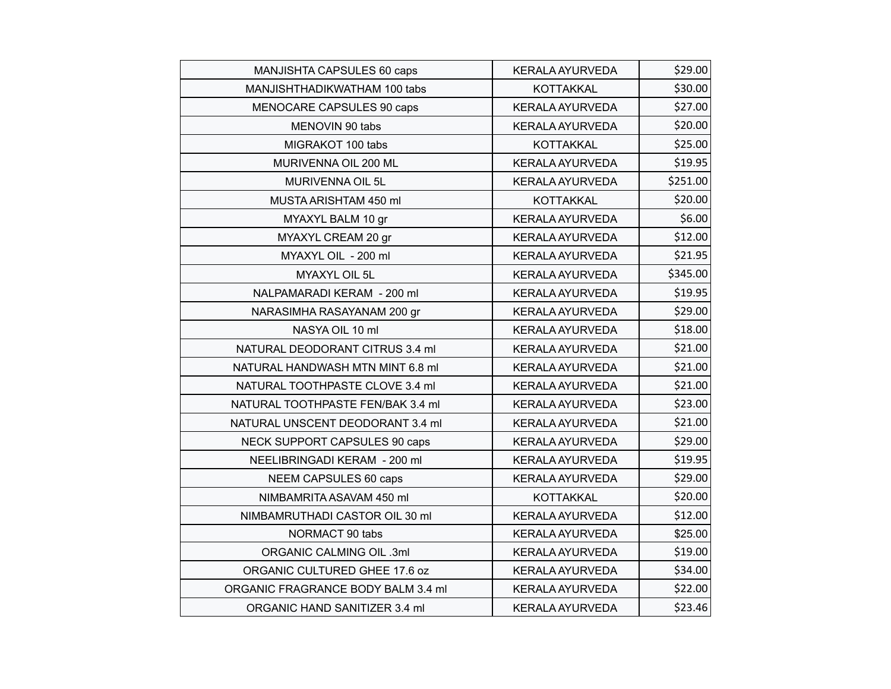| MANJISHTA CAPSULES 60 caps         | <b>KERALA AYURVEDA</b> | \$29.00  |
|------------------------------------|------------------------|----------|
| MANJISHTHADIKWATHAM 100 tabs       | <b>KOTTAKKAL</b>       | \$30.00  |
| MENOCARE CAPSULES 90 caps          | <b>KERALA AYURVEDA</b> | \$27.00  |
| MENOVIN 90 tabs                    | <b>KERALA AYURVEDA</b> | \$20.00  |
| MIGRAKOT 100 tabs                  | <b>KOTTAKKAL</b>       | \$25.00  |
| MURIVENNA OIL 200 ML               | <b>KERALA AYURVEDA</b> | \$19.95  |
| MURIVENNA OIL 5L                   | <b>KERALA AYURVEDA</b> | \$251.00 |
| MUSTA ARISHTAM 450 ml              | <b>KOTTAKKAL</b>       | \$20.00  |
| MYAXYL BALM 10 gr                  | <b>KERALA AYURVEDA</b> | \$6.00   |
| MYAXYL CREAM 20 gr                 | <b>KERALA AYURVEDA</b> | \$12.00  |
| MYAXYL OIL - 200 ml                | <b>KERALA AYURVEDA</b> | \$21.95  |
| MYAXYL OIL 5L                      | <b>KERALA AYURVEDA</b> | \$345.00 |
| NALPAMARADI KERAM - 200 ml         | <b>KERALA AYURVEDA</b> | \$19.95  |
| NARASIMHA RASAYANAM 200 gr         | <b>KERALA AYURVEDA</b> | \$29.00  |
| NASYA OIL 10 ml                    | <b>KERALA AYURVEDA</b> | \$18.00  |
| NATURAL DEODORANT CITRUS 3.4 ml    | <b>KERALA AYURVEDA</b> | \$21.00  |
| NATURAL HANDWASH MTN MINT 6.8 ml   | <b>KERALA AYURVEDA</b> | \$21.00  |
| NATURAL TOOTHPASTE CLOVE 3.4 ml    | <b>KERALA AYURVEDA</b> | \$21.00  |
| NATURAL TOOTHPASTE FEN/BAK 3.4 ml  | <b>KERALA AYURVEDA</b> | \$23.00  |
| NATURAL UNSCENT DEODORANT 3.4 ml   | <b>KERALA AYURVEDA</b> | \$21.00  |
| NECK SUPPORT CAPSULES 90 caps      | <b>KERALA AYURVEDA</b> | \$29.00  |
| NEELIBRINGADI KERAM - 200 ml       | <b>KERALA AYURVEDA</b> | \$19.95  |
| NEEM CAPSULES 60 caps              | <b>KERALA AYURVEDA</b> | \$29.00  |
| NIMBAMRITA ASAVAM 450 ml           | KOTTAKKAL              | \$20.00  |
| NIMBAMRUTHADI CASTOR OIL 30 ml     | <b>KERALA AYURVEDA</b> | \$12.00  |
| NORMACT 90 tabs                    | <b>KERALA AYURVEDA</b> | \$25.00  |
| <b>ORGANIC CALMING OIL .3ml</b>    | <b>KERALA AYURVEDA</b> | \$19.00  |
| ORGANIC CULTURED GHEE 17.6 oz      | <b>KERALA AYURVEDA</b> | \$34.00  |
| ORGANIC FRAGRANCE BODY BALM 3.4 ml | <b>KERALA AYURVEDA</b> | \$22.00  |
| ORGANIC HAND SANITIZER 3.4 ml      | <b>KERALA AYURVEDA</b> | \$23.46  |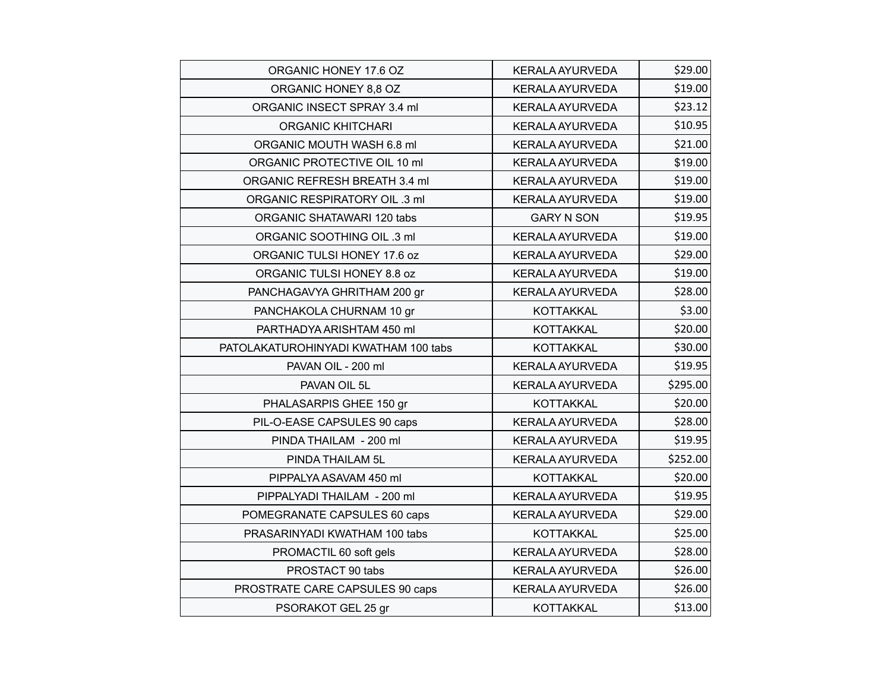| ORGANIC HONEY 17.6 OZ                | <b>KERALA AYURVEDA</b> | \$29.00  |
|--------------------------------------|------------------------|----------|
| ORGANIC HONEY 8,8 OZ                 | <b>KERALA AYURVEDA</b> | \$19.00  |
| ORGANIC INSECT SPRAY 3.4 ml          | <b>KERALA AYURVEDA</b> | \$23.12  |
| <b>ORGANIC KHITCHARI</b>             | <b>KERALA AYURVEDA</b> | \$10.95  |
| ORGANIC MOUTH WASH 6.8 ml            | <b>KERALA AYURVEDA</b> | \$21.00  |
| ORGANIC PROTECTIVE OIL 10 ml         | <b>KERALA AYURVEDA</b> | \$19.00  |
| ORGANIC REFRESH BREATH 3.4 ml        | <b>KERALA AYURVEDA</b> | \$19.00  |
| ORGANIC RESPIRATORY OIL .3 ml        | <b>KERALA AYURVEDA</b> | \$19.00  |
| ORGANIC SHATAWARI 120 tabs           | <b>GARY N SON</b>      | \$19.95  |
| ORGANIC SOOTHING OIL .3 ml           | <b>KERALA AYURVEDA</b> | \$19.00  |
| ORGANIC TULSI HONEY 17.6 oz          | <b>KERALA AYURVEDA</b> | \$29.00  |
| ORGANIC TULSI HONEY 8.8 oz           | <b>KERALA AYURVEDA</b> | \$19.00  |
| PANCHAGAVYA GHRITHAM 200 gr          | <b>KERALA AYURVEDA</b> | \$28.00  |
| PANCHAKOLA CHURNAM 10 gr             | <b>KOTTAKKAL</b>       | \$3.00   |
| PARTHADYA ARISHTAM 450 ml            | <b>KOTTAKKAL</b>       | \$20.00  |
| PATOLAKATUROHINYADI KWATHAM 100 tabs | <b>KOTTAKKAL</b>       | \$30.00  |
| PAVAN OIL - 200 ml                   | <b>KERALA AYURVEDA</b> | \$19.95  |
| PAVAN OIL 5L                         | <b>KERALA AYURVEDA</b> | \$295.00 |
| PHALASARPIS GHEE 150 gr              | <b>KOTTAKKAL</b>       | \$20.00  |
| PIL-O-EASE CAPSULES 90 caps          | <b>KERALA AYURVEDA</b> | \$28.00  |
| PINDA THAILAM - 200 ml               | <b>KERALA AYURVEDA</b> | \$19.95  |
| PINDA THAILAM 5L                     | <b>KERALA AYURVEDA</b> | \$252.00 |
| PIPPALYA ASAVAM 450 ml               | <b>KOTTAKKAL</b>       | \$20.00  |
| PIPPALYADI THAILAM - 200 ml          | <b>KERALA AYURVEDA</b> | \$19.95  |
| POMEGRANATE CAPSULES 60 caps         | <b>KERALA AYURVEDA</b> | \$29.00  |
| PRASARINYADI KWATHAM 100 tabs        | <b>KOTTAKKAL</b>       | \$25.00  |
| PROMACTIL 60 soft gels               | <b>KERALA AYURVEDA</b> | \$28.00  |
| PROSTACT 90 tabs                     | KERALA AYURVEDA        | \$26.00  |
| PROSTRATE CARE CAPSULES 90 caps      | <b>KERALA AYURVEDA</b> | \$26.00  |
| PSORAKOT GEL 25 gr                   | KOTTAKKAL              | \$13.00  |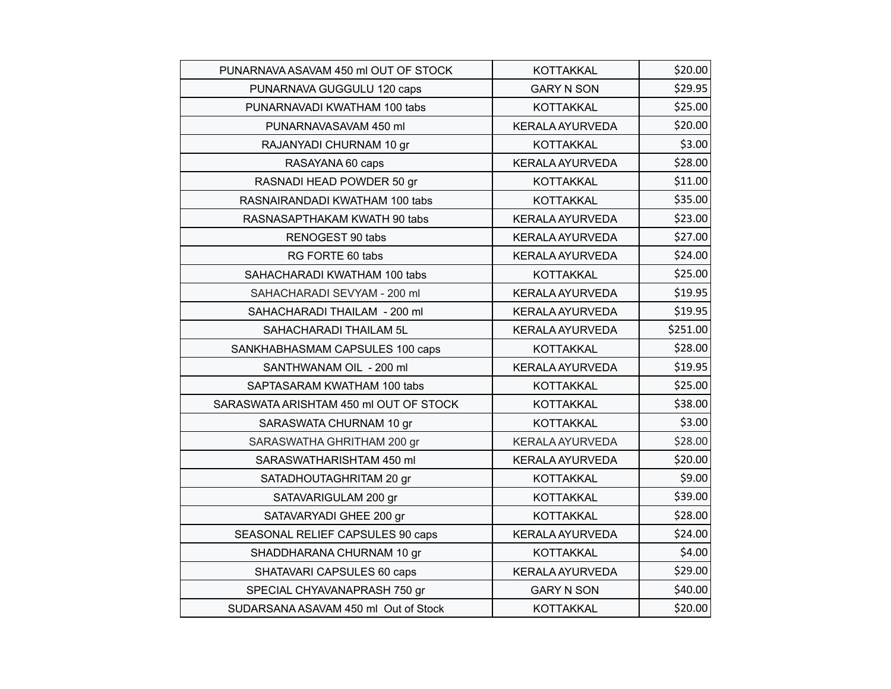| PUNARNAVA ASAVAM 450 ml OUT OF STOCK   | <b>KOTTAKKAL</b>       | \$20.00  |
|----------------------------------------|------------------------|----------|
| PUNARNAVA GUGGULU 120 caps             | <b>GARY N SON</b>      | \$29.95  |
| PUNARNAVADI KWATHAM 100 tabs           | <b>KOTTAKKAL</b>       | \$25.00  |
| PUNARNAVASAVAM 450 ml                  | <b>KERALA AYURVEDA</b> | \$20.00  |
| RAJANYADI CHURNAM 10 gr                | <b>KOTTAKKAL</b>       | \$3.00   |
| RASAYANA 60 caps                       | <b>KERALA AYURVEDA</b> | \$28.00  |
| RASNADI HEAD POWDER 50 gr              | <b>KOTTAKKAL</b>       | \$11.00  |
| RASNAIRANDADI KWATHAM 100 tabs         | <b>KOTTAKKAL</b>       | \$35.00  |
| RASNASAPTHAKAM KWATH 90 tabs           | <b>KERALA AYURVEDA</b> | \$23.00  |
| RENOGEST 90 tabs                       | <b>KERALA AYURVEDA</b> | \$27.00  |
| RG FORTE 60 tabs                       | <b>KERALA AYURVEDA</b> | \$24.00  |
| SAHACHARADI KWATHAM 100 tabs           | <b>KOTTAKKAL</b>       | \$25.00  |
| SAHACHARADI SEVYAM - 200 ml            | <b>KERALA AYURVEDA</b> | \$19.95  |
| SAHACHARADI THAILAM - 200 ml           | <b>KERALA AYURVEDA</b> | \$19.95  |
| SAHACHARADI THAILAM 5L                 | <b>KERALA AYURVEDA</b> | \$251.00 |
| SANKHABHASMAM CAPSULES 100 caps        | <b>KOTTAKKAL</b>       | \$28.00  |
| SANTHWANAM OIL - 200 ml                | <b>KERALA AYURVEDA</b> | \$19.95  |
| SAPTASARAM KWATHAM 100 tabs            | <b>KOTTAKKAL</b>       | \$25.00  |
| SARASWATA ARISHTAM 450 ml OUT OF STOCK | <b>KOTTAKKAL</b>       | \$38.00  |
| SARASWATA CHURNAM 10 gr                | <b>KOTTAKKAL</b>       | \$3.00   |
| SARASWATHA GHRITHAM 200 gr             | <b>KERALA AYURVEDA</b> | \$28.00  |
| SARASWATHARISHTAM 450 ml               | <b>KERALA AYURVEDA</b> | \$20.00  |
| SATADHOUTAGHRITAM 20 gr                | <b>KOTTAKKAL</b>       | \$9.00   |
| SATAVARIGULAM 200 gr                   | <b>KOTTAKKAL</b>       | \$39.00  |
| SATAVARYADI GHEE 200 gr                | <b>KOTTAKKAL</b>       | \$28.00  |
| SEASONAL RELIEF CAPSULES 90 caps       | <b>KERALA AYURVEDA</b> | \$24.00  |
| SHADDHARANA CHURNAM 10 gr              | <b>KOTTAKKAL</b>       | \$4.00   |
| SHATAVARI CAPSULES 60 caps             | <b>KERALA AYURVEDA</b> | \$29.00  |
| SPECIAL CHYAVANAPRASH 750 gr           | <b>GARY N SON</b>      | \$40.00  |
| SUDARSANA ASAVAM 450 ml Out of Stock   | <b>KOTTAKKAL</b>       | \$20.00  |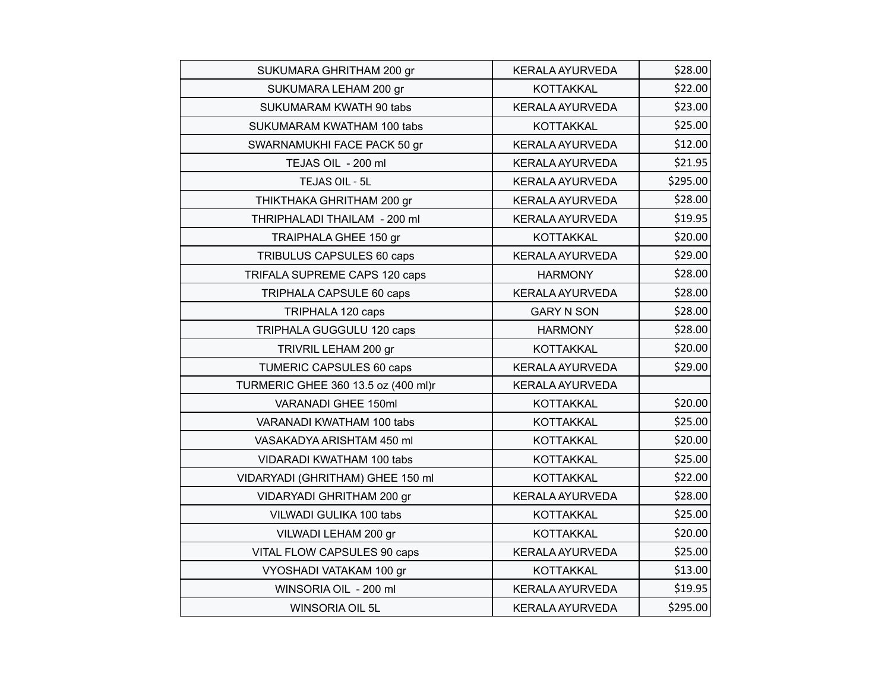| SUKUMARA GHRITHAM 200 gr            | <b>KERALA AYURVEDA</b> | \$28.00  |
|-------------------------------------|------------------------|----------|
| SUKUMARA LEHAM 200 gr               | <b>KOTTAKKAL</b>       | \$22.00  |
| SUKUMARAM KWATH 90 tabs             | <b>KERALA AYURVEDA</b> | \$23.00  |
| SUKUMARAM KWATHAM 100 tabs          | <b>KOTTAKKAL</b>       | \$25.00  |
| SWARNAMUKHI FACE PACK 50 gr         | <b>KERALA AYURVEDA</b> | \$12.00  |
| TEJAS OIL - 200 ml                  | <b>KERALA AYURVEDA</b> | \$21.95  |
| TEJAS OIL - 5L                      | <b>KERALA AYURVEDA</b> | \$295.00 |
| THIKTHAKA GHRITHAM 200 gr           | <b>KERALA AYURVEDA</b> | \$28.00  |
| THRIPHALADI THAILAM - 200 ml        | <b>KERALA AYURVEDA</b> | \$19.95  |
| <b>TRAIPHALA GHEE 150 gr</b>        | KOTTAKKAL              | \$20.00  |
| TRIBULUS CAPSULES 60 caps           | <b>KERALA AYURVEDA</b> | \$29.00  |
| TRIFALA SUPREME CAPS 120 caps       | <b>HARMONY</b>         | \$28.00  |
| TRIPHALA CAPSULE 60 caps            | <b>KERALA AYURVEDA</b> | \$28.00  |
| TRIPHALA 120 caps                   | <b>GARY N SON</b>      | \$28.00  |
| TRIPHALA GUGGULU 120 caps           | <b>HARMONY</b>         | \$28.00  |
| TRIVRIL LEHAM 200 gr                | KOTTAKKAL              | \$20.00  |
| TUMERIC CAPSULES 60 caps            | <b>KERALA AYURVEDA</b> | \$29.00  |
| TURMERIC GHEE 360 13.5 oz (400 ml)r | <b>KERALA AYURVEDA</b> |          |
| VARANADI GHEE 150ml                 | <b>KOTTAKKAL</b>       | \$20.00  |
| VARANADI KWATHAM 100 tabs           | <b>KOTTAKKAL</b>       | \$25.00  |
| VASAKADYA ARISHTAM 450 ml           | <b>KOTTAKKAL</b>       | \$20.00  |
| VIDARADI KWATHAM 100 tabs           | <b>KOTTAKKAL</b>       | \$25.00  |
| VIDARYADI (GHRITHAM) GHEE 150 ml    | <b>KOTTAKKAL</b>       | \$22.00  |
| VIDARYADI GHRITHAM 200 gr           | <b>KERALA AYURVEDA</b> | \$28.00  |
| VILWADI GULIKA 100 tabs             | <b>KOTTAKKAL</b>       | \$25.00  |
| VILWADI LEHAM 200 gr                | <b>KOTTAKKAL</b>       | \$20.00  |
| VITAL FLOW CAPSULES 90 caps         | <b>KERALA AYURVEDA</b> | \$25.00  |
| VYOSHADI VATAKAM 100 gr             | <b>KOTTAKKAL</b>       | \$13.00  |
| WINSORIA OIL - 200 ml               | <b>KERALA AYURVEDA</b> | \$19.95  |
| WINSORIA OIL 5L                     | <b>KERALA AYURVEDA</b> | \$295.00 |